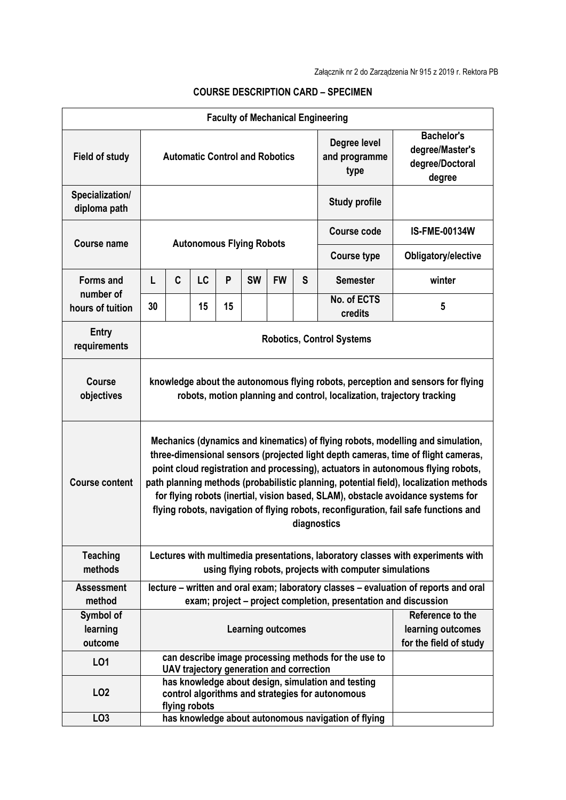| <b>Faculty of Mechanical Engineering</b>          |                                                                                                                                                                                                                                                                                                                                                                                                                                                                                                                                              |                                                                                                                                                                     |    |    |                                 |                          |                                       |                                                                   |                                             |
|---------------------------------------------------|----------------------------------------------------------------------------------------------------------------------------------------------------------------------------------------------------------------------------------------------------------------------------------------------------------------------------------------------------------------------------------------------------------------------------------------------------------------------------------------------------------------------------------------------|---------------------------------------------------------------------------------------------------------------------------------------------------------------------|----|----|---------------------------------|--------------------------|---------------------------------------|-------------------------------------------------------------------|---------------------------------------------|
| <b>Field of study</b>                             | <b>Automatic Control and Robotics</b>                                                                                                                                                                                                                                                                                                                                                                                                                                                                                                        |                                                                                                                                                                     |    |    |                                 |                          | Degree level<br>and programme<br>type | <b>Bachelor's</b><br>degree/Master's<br>degree/Doctoral<br>degree |                                             |
| Specialization/<br>diploma path                   |                                                                                                                                                                                                                                                                                                                                                                                                                                                                                                                                              |                                                                                                                                                                     |    |    |                                 |                          | <b>Study profile</b>                  |                                                                   |                                             |
| Course name                                       |                                                                                                                                                                                                                                                                                                                                                                                                                                                                                                                                              |                                                                                                                                                                     |    |    | <b>Autonomous Flying Robots</b> |                          | <b>Course code</b>                    | <b>IS-FME-00134W</b>                                              |                                             |
|                                                   |                                                                                                                                                                                                                                                                                                                                                                                                                                                                                                                                              |                                                                                                                                                                     |    |    |                                 |                          |                                       | <b>Course type</b>                                                | Obligatory/elective                         |
| <b>Forms and</b><br>number of<br>hours of tuition | L                                                                                                                                                                                                                                                                                                                                                                                                                                                                                                                                            | C                                                                                                                                                                   | LC | P  | <b>SW</b>                       | <b>FW</b>                | S                                     | <b>Semester</b>                                                   | winter                                      |
|                                                   | 30                                                                                                                                                                                                                                                                                                                                                                                                                                                                                                                                           |                                                                                                                                                                     | 15 | 15 |                                 |                          |                                       | No. of ECTS<br>credits                                            | 5                                           |
| <b>Entry</b><br>requirements                      | <b>Robotics, Control Systems</b>                                                                                                                                                                                                                                                                                                                                                                                                                                                                                                             |                                                                                                                                                                     |    |    |                                 |                          |                                       |                                                                   |                                             |
| <b>Course</b><br>objectives                       | knowledge about the autonomous flying robots, perception and sensors for flying<br>robots, motion planning and control, localization, trajectory tracking                                                                                                                                                                                                                                                                                                                                                                                    |                                                                                                                                                                     |    |    |                                 |                          |                                       |                                                                   |                                             |
| <b>Course content</b>                             | Mechanics (dynamics and kinematics) of flying robots, modelling and simulation,<br>three-dimensional sensors (projected light depth cameras, time of flight cameras,<br>point cloud registration and processing), actuators in autonomous flying robots,<br>path planning methods (probabilistic planning, potential field), localization methods<br>for flying robots (inertial, vision based, SLAM), obstacle avoidance systems for<br>flying robots, navigation of flying robots, reconfiguration, fail safe functions and<br>diagnostics |                                                                                                                                                                     |    |    |                                 |                          |                                       |                                                                   |                                             |
| <b>Teaching</b><br>methods                        | Lectures with multimedia presentations, laboratory classes with experiments with<br>using flying robots, projects with computer simulations                                                                                                                                                                                                                                                                                                                                                                                                  |                                                                                                                                                                     |    |    |                                 |                          |                                       |                                                                   |                                             |
| <b>Assessment</b>                                 |                                                                                                                                                                                                                                                                                                                                                                                                                                                                                                                                              | lecture - written and oral exam; laboratory classes - evaluation of reports and oral                                                                                |    |    |                                 |                          |                                       |                                                                   |                                             |
| method                                            |                                                                                                                                                                                                                                                                                                                                                                                                                                                                                                                                              |                                                                                                                                                                     |    |    |                                 |                          |                                       | exam; project – project completion, presentation and discussion   |                                             |
| Symbol of                                         |                                                                                                                                                                                                                                                                                                                                                                                                                                                                                                                                              |                                                                                                                                                                     |    |    |                                 |                          |                                       |                                                                   | Reference to the                            |
| learning<br>outcome                               |                                                                                                                                                                                                                                                                                                                                                                                                                                                                                                                                              |                                                                                                                                                                     |    |    |                                 | <b>Learning outcomes</b> |                                       |                                                                   | learning outcomes<br>for the field of study |
| L01                                               |                                                                                                                                                                                                                                                                                                                                                                                                                                                                                                                                              |                                                                                                                                                                     |    |    |                                 |                          |                                       | can describe image processing methods for the use to              |                                             |
| LO <sub>2</sub>                                   |                                                                                                                                                                                                                                                                                                                                                                                                                                                                                                                                              | UAV trajectory generation and correction<br>has knowledge about design, simulation and testing<br>control algorithms and strategies for autonomous<br>flying robots |    |    |                                 |                          |                                       |                                                                   |                                             |
| LO <sub>3</sub>                                   | has knowledge about autonomous navigation of flying                                                                                                                                                                                                                                                                                                                                                                                                                                                                                          |                                                                                                                                                                     |    |    |                                 |                          |                                       |                                                                   |                                             |

## **COURSE DESCRIPTION CARD – SPECIMEN**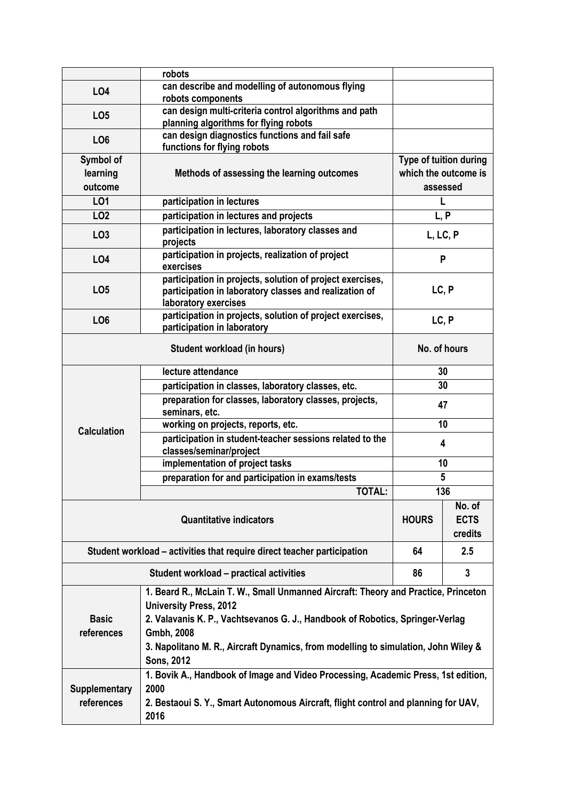|                       | robots                                                                                                                                      |                                  |                        |  |  |  |  |  |  |
|-----------------------|---------------------------------------------------------------------------------------------------------------------------------------------|----------------------------------|------------------------|--|--|--|--|--|--|
| <b>LO4</b>            | can describe and modelling of autonomous flying<br>robots components                                                                        |                                  |                        |  |  |  |  |  |  |
| LO <sub>5</sub>       | can design multi-criteria control algorithms and path<br>planning algorithms for flying robots                                              |                                  |                        |  |  |  |  |  |  |
| LO <sub>6</sub>       | can design diagnostics functions and fail safe<br>functions for flying robots                                                               |                                  |                        |  |  |  |  |  |  |
| Symbol of<br>learning | Methods of assessing the learning outcomes                                                                                                  |                                  | Type of tuition during |  |  |  |  |  |  |
| outcome               |                                                                                                                                             | which the outcome is<br>assessed |                        |  |  |  |  |  |  |
| L01                   | participation in lectures                                                                                                                   | L                                |                        |  |  |  |  |  |  |
| LO <sub>2</sub>       | participation in lectures and projects                                                                                                      | L, P                             |                        |  |  |  |  |  |  |
| LO <sub>3</sub>       | participation in lectures, laboratory classes and<br>projects                                                                               | L, LC, P                         |                        |  |  |  |  |  |  |
| <b>LO4</b>            | participation in projects, realization of project<br>exercises                                                                              | P                                |                        |  |  |  |  |  |  |
| LO <sub>5</sub>       | participation in projects, solution of project exercises,<br>participation in laboratory classes and realization of<br>laboratory exercises | LC, P                            |                        |  |  |  |  |  |  |
| LO <sub>6</sub>       | participation in projects, solution of project exercises,<br>participation in laboratory                                                    | LC, P                            |                        |  |  |  |  |  |  |
|                       | Student workload (in hours)                                                                                                                 |                                  | No. of hours           |  |  |  |  |  |  |
|                       | lecture attendance                                                                                                                          | 30                               |                        |  |  |  |  |  |  |
|                       | participation in classes, laboratory classes, etc.                                                                                          | 30                               |                        |  |  |  |  |  |  |
|                       | preparation for classes, laboratory classes, projects,<br>seminars, etc.                                                                    | 47                               |                        |  |  |  |  |  |  |
| <b>Calculation</b>    | working on projects, reports, etc.                                                                                                          | 10                               |                        |  |  |  |  |  |  |
|                       | participation in student-teacher sessions related to the<br>classes/seminar/project                                                         | 4                                |                        |  |  |  |  |  |  |
|                       | implementation of project tasks                                                                                                             | 10                               |                        |  |  |  |  |  |  |
|                       | preparation for and participation in exams/tests                                                                                            | 5                                |                        |  |  |  |  |  |  |
|                       | <b>TOTAL:</b>                                                                                                                               |                                  | $13\overline{6}$       |  |  |  |  |  |  |
|                       | <b>HOURS</b>                                                                                                                                | No. of<br><b>ECTS</b><br>credits |                        |  |  |  |  |  |  |
|                       | Student workload - activities that require direct teacher participation                                                                     | 64                               | 2.5                    |  |  |  |  |  |  |
|                       | Student workload - practical activities                                                                                                     | 86                               | 3                      |  |  |  |  |  |  |
|                       | 1. Beard R., McLain T. W., Small Unmanned Aircraft: Theory and Practice, Princeton<br><b>University Press, 2012</b>                         |                                  |                        |  |  |  |  |  |  |
| <b>Basic</b>          | 2. Valavanis K. P., Vachtsevanos G. J., Handbook of Robotics, Springer-Verlag                                                               |                                  |                        |  |  |  |  |  |  |
| references            | Gmbh, 2008                                                                                                                                  |                                  |                        |  |  |  |  |  |  |
|                       | 3. Napolitano M. R., Aircraft Dynamics, from modelling to simulation, John Wiley &<br><b>Sons, 2012</b>                                     |                                  |                        |  |  |  |  |  |  |
|                       | 1. Bovik A., Handbook of Image and Video Processing, Academic Press, 1st edition,                                                           |                                  |                        |  |  |  |  |  |  |
| <b>Supplementary</b>  | 2000                                                                                                                                        |                                  |                        |  |  |  |  |  |  |
| references            | 2. Bestaoui S. Y., Smart Autonomous Aircraft, flight control and planning for UAV,<br>2016                                                  |                                  |                        |  |  |  |  |  |  |